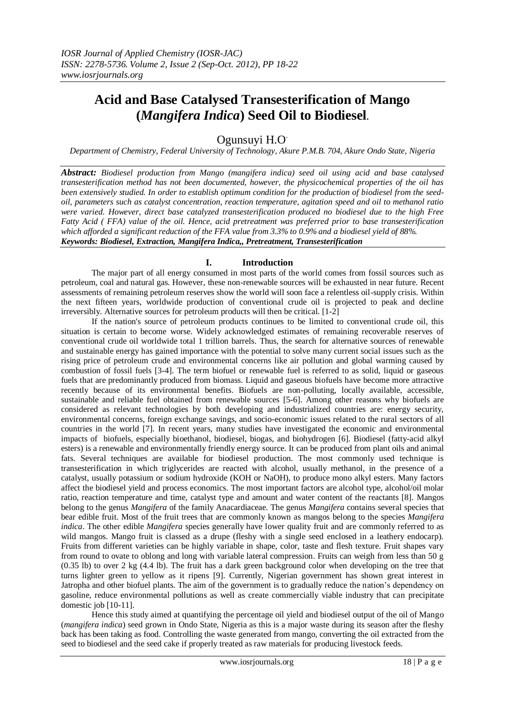# **Acid and Base Catalysed Transesterification of Mango (***Mangifera Indica***) Seed Oil to Biodiesel.**

# Ogunsuyi H.O.

*Department of Chemistry, Federal University of Technology, Akure P.M.B. 704, Akure Ondo State, Nigeria*

*Abstract: Biodiesel production from Mango (mangifera indica) seed oil using acid and base catalysed transesterification method has not been documented, however, the physicochemical properties of the oil has been extensively studied. In order to establish optimum condition for the production of biodiesel from the seedoil, parameters such as catalyst concentration, reaction temperature, agitation speed and oil to methanol ratio were varied. However, direct base catalyzed transesterification produced no biodiesel due to the high Free Fatty Acid ( FFA) value of the oil. Hence, acid pretreatment was preferred prior to base transesterification which afforded a significant reduction of the FFA value from 3.3% to 0.9% and a biodiesel yield of 88%. Keywords: Biodiesel, Extraction, Mangifera Indica,, Pretreatment, Transesterification*

# **I. Introduction**

The major part of all energy consumed in most parts of the world comes from fossil sources such as petroleum, coal and natural gas. However, these non-renewable sources will be exhausted in near future. Recent assessments of remaining petroleum reserves show the world will soon face a relentless oil-supply crisis. Within the next fifteen years, worldwide production of conventional crude oil is projected to peak and decline irreversibly. Alternative sources for petroleum products will then be critical. [1-2]

If the nation's source of petroleum products continues to be limited to conventional crude oil, this situation is certain to become worse. Widely acknowledged estimates of remaining recoverable reserves of conventional crude oil worldwide total 1 trillion barrels. Thus, the search for alternative sources of renewable and sustainable energy has gained importance with the potential to solve many current social issues such as the rising price of petroleum crude and environmental concerns like air pollution and global warming caused by combustion of fossil fuels [3-4]. The term biofuel or renewable fuel is referred to as solid, liquid or gaseous fuels that are predominantly produced from biomass. Liquid and gaseous biofuels have become more attractive recently because of its environmental benefits. Biofuels are non-polluting, locally available, accessible, sustainable and reliable fuel obtained from renewable sources [5-6]. Among other reasons why biofuels are considered as relevant technologies by both developing and industrialized countries are: energy security, environmental concerns, foreign exchange savings, and socio-economic issues related to the rural sectors of all countries in the world [7]. In recent years, many studies have investigated the economic and environmental impacts of biofuels, especially bioethanol, biodiesel, biogas, and biohydrogen [6]. Biodiesel (fatty-acid alkyl esters) is a renewable and environmentally friendly energy source. It can be produced from plant oils and animal fats. Several techniques are available for biodiesel production. The most commonly used technique is transesterification in which triglycerides are reacted with alcohol, usually methanol, in the presence of a catalyst, usually potassium or sodium hydroxide (KOH or NaOH), to produce mono alkyl esters. Many factors affect the biodiesel yield and process economics. The most important factors are alcohol type, alcohol/oil molar ratio, reaction temperature and time, catalyst type and amount and water content of the reactants [8]. Mangos belong to the genus *Mangifera* of the family Anacardiaceae*.* The genus *Mangifera* contains several species that bear edible fruit. Most of the fruit trees that are commonly known as mangos belong to the species *Mangifera indica*. The other edible *Mangifera* species generally have lower quality fruit and are commonly referred to as wild mangos. Mango fruit is classed as a drupe (fleshy with a single seed enclosed in a leathery endocarp). Fruits from different varieties can be highly variable in shape, color, taste and flesh texture. Fruit shapes vary from round to ovate to oblong and long with variable lateral compression. Fruits can weigh from less than 50 g (0.35 lb) to over 2 kg (4.4 lb). The fruit has a dark green background color when developing on the tree that turns lighter green to yellow as it ripens [9]. Currently, Nigerian government has shown great interest in Jatropha and other biofuel plants. The aim of the government is to gradually reduce the nation's dependency on gasoline, reduce environmental pollutions as well as create commercially viable industry that can precipitate domestic job [10-11].

Hence this study aimed at quantifying the percentage oil yield and biodiesel output of the oil of Mango (*mangifera indica*) seed grown in Ondo State, Nigeria as this is a major waste during its season after the fleshy back has been taking as food. Controlling the waste generated from mango, converting the oil extracted from the seed to biodiesel and the seed cake if properly treated as raw materials for producing livestock feeds.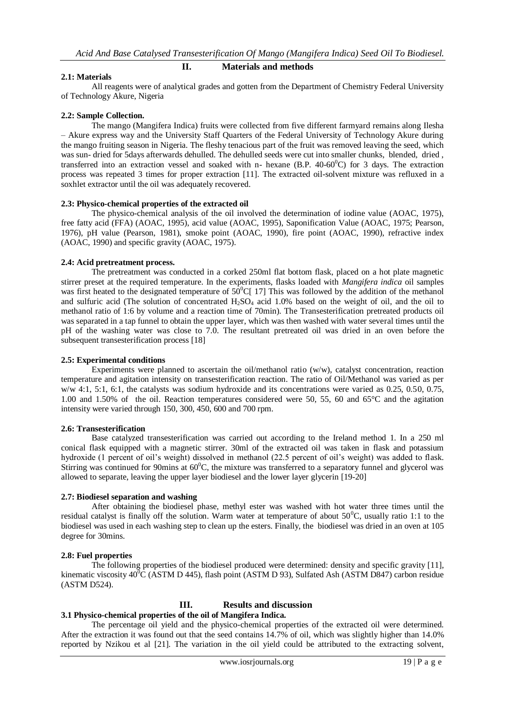# **II. Materials and methods**

# **2.1: Materials**

All reagents were of analytical grades and gotten from the Department of Chemistry Federal University of Technology Akure, Nigeria

# **2.2: Sample Collection.**

The mango (Mangifera Indica) fruits were collected from five different farmyard remains along Ilesha – Akure express way and the University Staff Quarters of the Federal University of Technology Akure during the mango fruiting season in Nigeria. The fleshy tenacious part of the fruit was removed leaving the seed, which was sun- dried for 5days afterwards dehulled. The dehulled seeds were cut into smaller chunks, blended, dried , transferred into an extraction vessel and soaked with n- hexane  $(B.P. 40-60^{\circ}C)$  for 3 days. The extraction process was repeated 3 times for proper extraction [11]. The extracted oil-solvent mixture was refluxed in a soxhlet extractor until the oil was adequately recovered.

### **2.3: Physico-chemical properties of the extracted oil**

The physico-chemical analysis of the oil involved the determination of iodine value (AOAC, 1975), free fatty acid (FFA) (AOAC, 1995), acid value (AOAC, 1995), Saponification Value (AOAC, 1975; Pearson, 1976), pH value (Pearson, 1981), smoke point (AOAC, 1990), fire point (AOAC, 1990), refractive index (AOAC, 1990) and specific gravity (AOAC, 1975).

### **2.4: Acid pretreatment process.**

The pretreatment was conducted in a corked 250ml flat bottom flask, placed on a hot plate magnetic stirrer preset at the required temperature. In the experiments, flasks loaded with *Mangifera indica* oil samples was first heated to the designated temperature of  $50^{\circ}$ C[ 17] This was followed by the addition of the methanol and sulfuric acid (The solution of concentrated  $H_2SO_4$  acid 1.0% based on the weight of oil, and the oil to methanol ratio of 1:6 by volume and a reaction time of 70min). The Transesterification pretreated products oil was separated in a tap funnel to obtain the upper layer, which was then washed with water several times until the pH of the washing water was close to 7.0. The resultant pretreated oil was dried in an oven before the subsequent transesterification process [18]

# **2.5: Experimental conditions**

Experiments were planned to ascertain the oil/methanol ratio ( $w/w$ ), catalyst concentration, reaction temperature and agitation intensity on transesterification reaction. The ratio of Oil/Methanol was varied as per w/w 4:1, 5:1, 6:1, the catalysts was sodium hydroxide and its concentrations were varied as 0.25, 0.50, 0.75, 1.00 and 1.50% of the oil. Reaction temperatures considered were 50, 55, 60 and 65°C and the agitation intensity were varied through 150, 300, 450, 600 and 700 rpm.

### **2.6: Transesterification**

Base catalyzed transesterification was carried out according to the Ireland method 1. In a 250 ml conical flask equipped with a magnetic stirrer. 30ml of the extracted oil was taken in flask and potassium hydroxide (1 percent of oil's weight) dissolved in methanol (22.5 percent of oil's weight) was added to flask. Stirring was continued for 90mins at  $60^{\circ}$ C, the mixture was transferred to a separatory funnel and glycerol was allowed to separate, leaving the upper layer biodiesel and the lower layer glycerin [19-20]

### **2.7: Biodiesel separation and washing**

After obtaining the biodiesel phase, methyl ester was washed with hot water three times until the residual catalyst is finally off the solution. Warm water at temperature of about  $50^{\circ}$ C, usually ratio 1:1 to the biodiesel was used in each washing step to clean up the esters. Finally, the biodiesel was dried in an oven at 105 degree for 30mins.

# **2.8: Fuel properties**

The following properties of the biodiesel produced were determined: density and specific gravity [11], kinematic viscosity  $40^0C$  (ASTM D 445), flash point (ASTM D 93), Sulfated Ash (ASTM D847) carbon residue (ASTM D524).

# **III. Results and discussion**

# **3.1 Physico-chemical properties of the oil of Mangifera Indica.**

The percentage oil yield and the physico-chemical properties of the extracted oil were determined. After the extraction it was found out that the seed contains 14.7% of oil, which was slightly higher than 14.0% reported by Nzikou et al [21]. The variation in the oil yield could be attributed to the extracting solvent,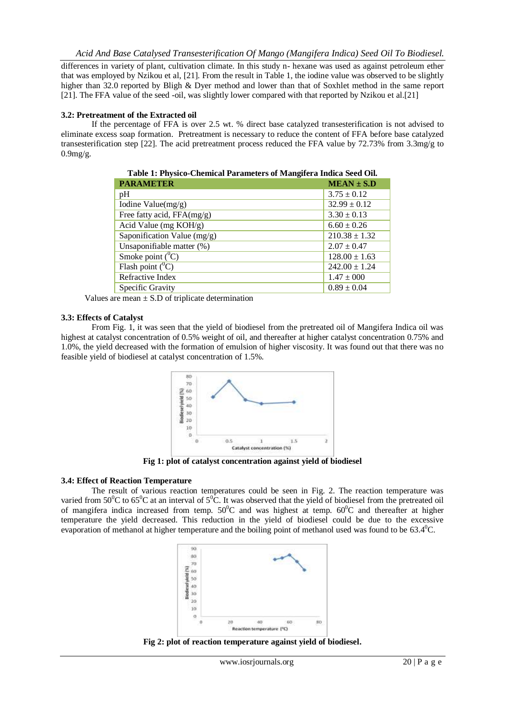differences in variety of plant, cultivation climate. In this study n- hexane was used as against petroleum ether that was employed by Nzikou et al, [21]. From the result in Table 1, the iodine value was observed to be slightly higher than 32.0 reported by Bligh & Dyer method and lower than that of Soxhlet method in the same report [21]. The FFA value of the seed -oil, was slightly lower compared with that reported by Nzikou et al.[21]

# **3.2: Pretreatment of the Extracted oil**

If the percentage of FFA is over 2.5 wt. % direct base catalyzed transesterification is not advised to eliminate excess soap formation. Pretreatment is necessary to reduce the content of FFA before base catalyzed transesterification step [22]. The acid pretreatment process reduced the FFA value by 72.73% from 3.3mg/g to 0.9mg/g.

| Tubic 11 I hypico Chemical I arumcurp of Manghera mulca beca Oli |                   |  |
|------------------------------------------------------------------|-------------------|--|
| <b>PARAMETER</b>                                                 | $MEAN \pm S.D$    |  |
| pH                                                               | $3.75 \pm 0.12$   |  |
| Iodine Value(mg/g)                                               | $32.99 \pm 0.12$  |  |
| Free fatty acid, $FFA(mg/g)$                                     | $3.30 \pm 0.13$   |  |
| Acid Value (mg KOH/g)                                            | $6.60 \pm 0.26$   |  |
| Saponification Value $(mg/g)$                                    | $210.38 \pm 1.32$ |  |
| Unsaponifiable matter (%)                                        | $2.07 \pm 0.47$   |  |
| Smoke point $(^0C)$                                              | $128.00 \pm 1.63$ |  |
| Flash point $(^0C)$                                              | $242.00 \pm 1.24$ |  |
| Refractive Index                                                 | $1.47 \pm 000$    |  |
| Specific Gravity                                                 | $0.89 \pm 0.04$   |  |

**Table 1: Physico-Chemical Parameters of Mangifera Indica Seed Oil.**

Values are mean  $\pm$  S.D of triplicate determination

# **3.3: Effects of Catalyst**

From Fig. 1, it was seen that the yield of biodiesel from the pretreated oil of Mangifera Indica oil was highest at catalyst concentration of 0.5% weight of oil, and thereafter at higher catalyst concentration 0.75% and 1.0%, the yield decreased with the formation of emulsion of higher viscosity. It was found out that there was no feasible yield of biodiesel at catalyst concentration of 1.5%.



**Fig 1: plot of catalyst concentration against yield of biodiesel**

### **3.4: Effect of Reaction Temperature**

The result of various reaction temperatures could be seen in Fig. 2. The reaction temperature was varied from 50<sup>°</sup>C to 65<sup>°</sup>C at an interval of 5<sup>°</sup>C. It was observed that the yield of biodiesel from the pretreated oil of mangifera indica increased from temp.  $50^{\circ}$ C and was highest at temp.  $60^{\circ}$ C and thereafter at higher temperature the yield decreased. This reduction in the yield of biodiesel could be due to the excessive evaporation of methanol at higher temperature and the boiling point of methanol used was found to be  $63.4^{\circ}$ C.



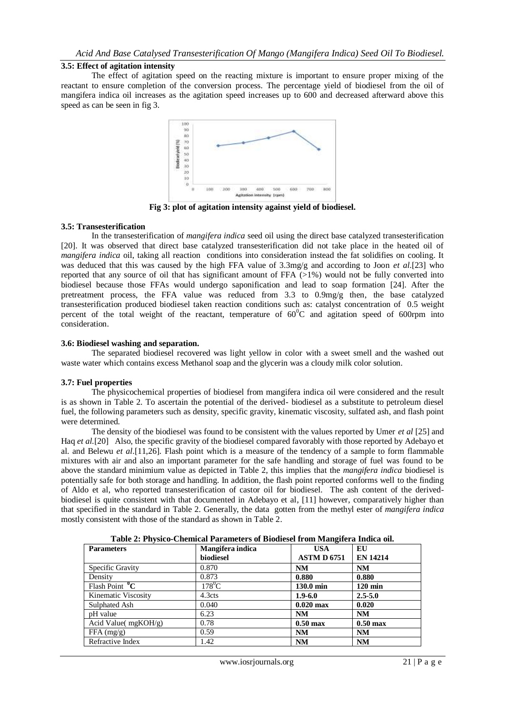### **3.5: Effect of agitation intensity**

The effect of agitation speed on the reacting mixture is important to ensure proper mixing of the reactant to ensure completion of the conversion process. The percentage yield of biodiesel from the oil of mangifera indica oil increases as the agitation speed increases up to 600 and decreased afterward above this speed as can be seen in fig 3.



**Fig 3: plot of agitation intensity against yield of biodiesel.**

#### **3.5: Transesterification**

In the transesterification of *mangifera indica* seed oil using the direct base catalyzed transesterification [20]. It was observed that direct base catalyzed transesterification did not take place in the heated oil of *mangifera indica* oil, taking all reaction conditions into consideration instead the fat solidifies on cooling. It was deduced that this was caused by the high FFA value of 3.3mg/g and according to Joon *et al*.[23] who reported that any source of oil that has significant amount of FFA  $(>1%)$  would not be fully converted into biodiesel because those FFAs would undergo saponification and lead to soap formation [24]. After the pretreatment process, the FFA value was reduced from 3.3 to 0.9mg/g then, the base catalyzed transesterification produced biodiesel taken reaction conditions such as: catalyst concentration of 0.5 weight percent of the total weight of the reactant, temperature of  $60^{\circ}$ C and agitation speed of 600rpm into consideration.

# **3.6: Biodiesel washing and separation.**

The separated biodiesel recovered was light yellow in color with a sweet smell and the washed out waste water which contains excess Methanol soap and the glycerin was a cloudy milk color solution.

#### **3.7: Fuel properties**

The physicochemical properties of biodiesel from mangifera indica oil were considered and the result is as shown in Table 2. To ascertain the potential of the derived- biodiesel as a substitute to petroleum diesel fuel, the following parameters such as density, specific gravity, kinematic viscosity, sulfated ash, and flash point were determined.

The density of the biodiesel was found to be consistent with the values reported by Umer *et al* [25] and Haq *et al.*[20]Also, the specific gravity of the biodiesel compared favorably with those reported by Adebayo et al. and Belewu *et al*.[11,26]. Flash point which is a measure of the tendency of a sample to form flammable mixtures with air and also an important parameter for the safe handling and storage of fuel was found to be above the standard minimium value as depicted in Table 2, this implies that the *mangifera indica* biodiesel is potentially safe for both storage and handling. In addition, the flash point reported conforms well to the finding of Aldo et al, who reported transesterification of castor oil for biodiesel. The ash content of the derivedbiodiesel is quite consistent with that documented in Adebayo et al, [11] however, comparatively higher than that specified in the standard in Table 2. Generally, the data gotten from the methyl ester of *mangifera indica*  mostly consistent with those of the standard as shown in Table 2.

**Table 2: Physico-Chemical Parameters of Biodiesel from Mangifera Indica oil.**

| <b>Parameters</b>            | Mangifera indica | <b>USA</b>         | EU                 |
|------------------------------|------------------|--------------------|--------------------|
|                              | biodiesel        | <b>ASTM D 6751</b> | <b>EN 14214</b>    |
| Specific Gravity             | 0.870            | NM                 | <b>NM</b>          |
| Density                      | 0.873            | 0.880              | 0.880              |
| Flash Point $\overline{^0C}$ | $178^0C$         | 130.0 min          | $120 \text{ min}$  |
| Kinematic Viscosity          | 4.3cts           | $1.9 - 6.0$        | $2.5 - 5.0$        |
| Sulphated Ash                | 0.040            | $0.020$ max        | 0.020              |
| pH value                     | 6.23             | NM                 | <b>NM</b>          |
| Acid Value( $mgKOH/g$ )      | 0.78             | $0.50 \text{ max}$ | $0.50 \text{ max}$ |
| FFA (mg/g)                   | 0.59             | NM                 | <b>NM</b>          |
| Refractive Index             | 1.42             | <b>NM</b>          | <b>NM</b>          |